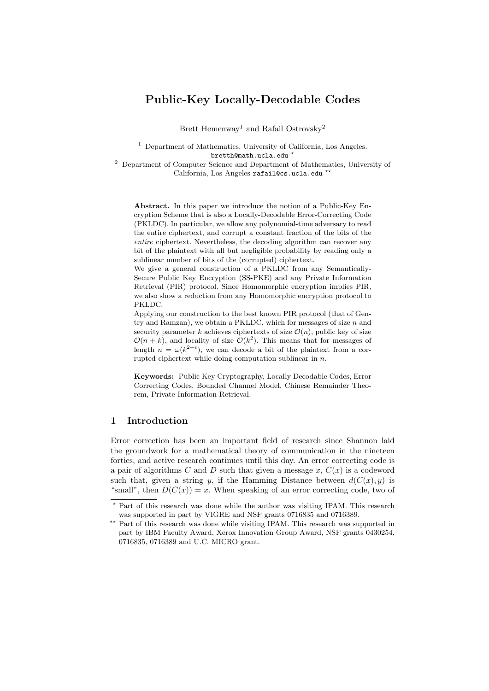# Public-Key Locally-Decodable Codes

Brett Hemenway<sup>1</sup> and Rafail Ostrovsky<sup>2</sup>

<sup>1</sup> Department of Mathematics, University of California, Los Angeles. bretth@math.ucla.edu \*

<sup>2</sup> Department of Computer Science and Department of Mathematics, University of California, Los Angeles rafail@cs.ucla.edu \*\*

Abstract. In this paper we introduce the notion of a Public-Key Encryption Scheme that is also a Locally-Decodable Error-Correcting Code (PKLDC). In particular, we allow any polynomial-time adversary to read the entire ciphertext, and corrupt a constant fraction of the bits of the entire ciphertext. Nevertheless, the decoding algorithm can recover any bit of the plaintext with all but negligible probability by reading only a sublinear number of bits of the (corrupted) ciphertext.

We give a general construction of a PKLDC from any Semantically-Secure Public Key Encryption (SS-PKE) and any Private Information Retrieval (PIR) protocol. Since Homomorphic encryption implies PIR, we also show a reduction from any Homomorphic encryption protocol to PKLDC.

Applying our construction to the best known PIR protocol (that of Gentry and Ramzan), we obtain a PKLDC, which for messages of size  $n$  and security parameter k achieves ciphertexts of size  $\mathcal{O}(n)$ , public key of size  $\mathcal{O}(n+k)$ , and locality of size  $\mathcal{O}(k^2)$ . This means that for messages of length  $n = \omega(k^{2+\epsilon})$ , we can decode a bit of the plaintext from a corrupted ciphertext while doing computation sublinear in n.

Keywords: Public Key Cryptography, Locally Decodable Codes, Error Correcting Codes, Bounded Channel Model, Chinese Remainder Theorem, Private Information Retrieval.

## 1 Introduction

Error correction has been an important field of research since Shannon laid the groundwork for a mathematical theory of communication in the nineteen forties, and active research continues until this day. An error correcting code is a pair of algorithms  $C$  and  $D$  such that given a message  $x, C(x)$  is a codeword such that, given a string y, if the Hamming Distance between  $d(C(x), y)$  is "small", then  $D(C(x)) = x$ . When speaking of an error correcting code, two of

<sup>?</sup> Part of this research was done while the author was visiting IPAM. This research was supported in part by VIGRE and NSF grants 0716835 and 0716389.

<sup>\*\*</sup> Part of this research was done while visiting IPAM. This research was supported in part by IBM Faculty Award, Xerox Innovation Group Award, NSF grants 0430254, 0716835, 0716389 and U.C. MICRO grant.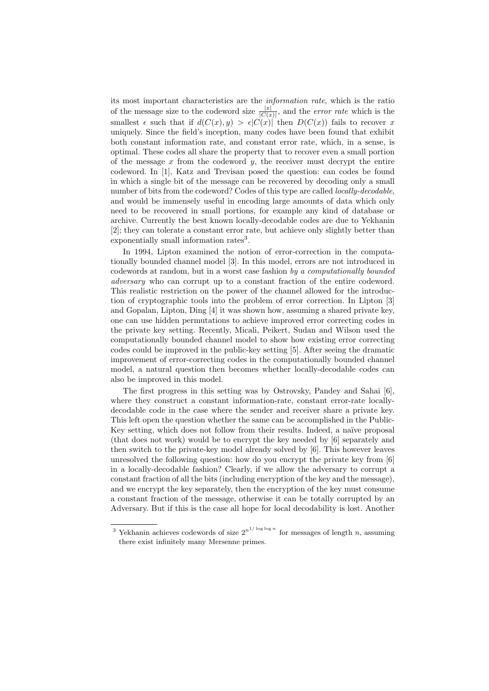its most important characteristics are the information rate, which is the ratio of the message size to the codeword size  $\frac{|x|}{|C(x)|}$ , and the *error rate* which is the smallest  $\epsilon$  such that if  $d(C(x), y) > \epsilon |C(x)|$  then  $D(C(x))$  fails to recover x uniquely. Since the field's inception, many codes have been found that exhibit both constant information rate, and constant error rate, which, in a sense, is optimal. These codes all share the property that to recover even a small portion of the message  $x$  from the codeword  $y$ , the receiver must decrypt the entire codeword. In [1], Katz and Trevisan posed the question: can codes be found in which a single bit of the message can be recovered by decoding only a small number of bits from the codeword? Codes of this type are called *locally-decodable*. and would be immensely useful in encoding large amounts of data which only need to be recovered in small portions, for example any kind of database or archive. Currently the best known locally-decodable codes are due to Yekhanin [2]; they can tolerate a constant error rate, but achieve only slightly better than exponentially small information rates<sup>3</sup>.

In 1994, Lipton examined the notion of error-correction in the computationally bounded channel model [3]. In this model, errors are not introduced in codewords at random, but in a worst case fashion by a computationally bounded adversary who can corrupt up to a constant fraction of the entire codeword. This realistic restriction on the power of the channel allowed for the introduction of cryptographic tools into the problem of error correction. In Lipton [3] and Gopalan, Lipton, Ding [4] it was shown how, assuming a shared private key, one can use hidden permutations to achieve improved error correcting codes in the private key setting. Recently, Micali, Peikert, Sudan and Wilson used the computationally bounded channel model to show how existing error correcting codes could be improved in the public-key setting [5]. After seeing the dramatic improvement of error-correcting codes in the computationally bounded channel model, a natural question then becomes whether locally-decodable codes can also be improved in this model.

The first progress in this setting was by Ostrovsky, Pandey and Sahai [6], where they construct a constant information-rate, constant error-rate locallydecodable code in the case where the sender and receiver share a private key. This left open the question whether the same can be accomplished in the Public-Key setting, which does not follow from their results. Indeed, a naïve proposal (that does not work) would be to encrypt the key needed by [6] separately and then switch to the private-key model already solved by [6]. This however leaves unresolved the following question: how do you encrypt the private key from [6] in a locally-decodable fashion? Clearly, if we allow the adversary to corrupt a constant fraction of all the bits (including encryption of the key and the message), and we encrypt the key separately, then the encryption of the key must consume a constant fraction of the message, otherwise it can be totally corrupted by an Adversary. But if this is the case all hope for local decodability is lost. Another

<sup>&</sup>lt;sup>3</sup> Yekhanin achieves codewords of size  $2^{n^{1/\log \log n}}$  for messages of length n, assuming there exist infinitely many Mersenne primes.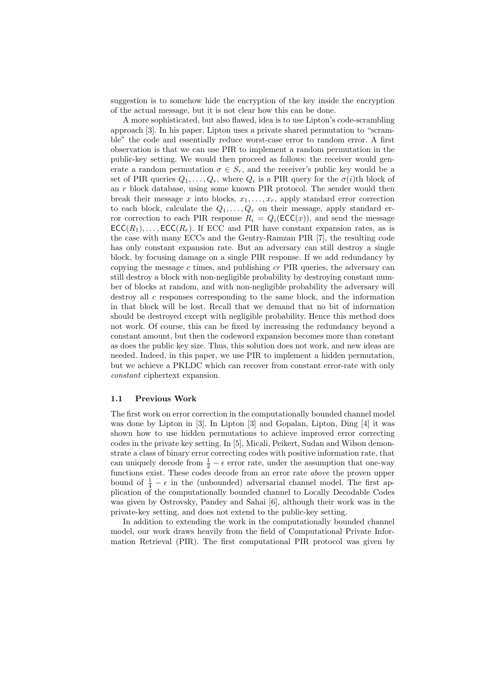suggestion is to somehow hide the encryption of the key inside the encryption of the actual message, but it is not clear how this can be done.

A more sophisticated, but also flawed, idea is to use Lipton's code-scrambling approach [3]. In his paper, Lipton uses a private shared permutation to "scramble" the code and essentially reduce worst-case error to random error. A first observation is that we can use PIR to implement a random permutation in the public-key setting. We would then proceed as follows: the receiver would generate a random permutation  $\sigma \in S_r$ , and the receiver's public key would be a set of PIR queries  $Q_1, \ldots, Q_r$ , where  $Q_i$  is a PIR query for the  $\sigma(i)$ th block of an r block database, using some known PIR protocol. The sender would then break their message x into blocks,  $x_1, \ldots, x_r$ , apply standard error correction to each block, calculate the  $Q_1, \ldots, Q_r$  on their message, apply standard error correction to each PIR response  $R_i = Q_i(\mathsf{ECC}(x))$ , and send the message  $\mathsf{ECC}(R_1), \ldots, \mathsf{ECC}(R_r)$ . If ECC and PIR have constant expansion rates, as is the case with many ECCs and the Gentry-Ramzan PIR [7], the resulting code has only constant expansion rate. But an adversary can still destroy a single block, by focusing damage on a single PIR response. If we add redundancy by copying the message  $c$  times, and publishing  $cr$  PIR queries, the adversary can still destroy a block with non-negligible probability by destroying constant number of blocks at random, and with non-negligible probability the adversary will destroy all c responses corresponding to the same block, and the information in that block will be lost. Recall that we demand that no bit of information should be destroyed except with negligible probability. Hence this method does not work. Of course, this can be fixed by increasing the redundancy beyond a constant amount, but then the codeword expansion becomes more than constant as does the public key size. Thus, this solution does not work, and new ideas are needed. Indeed, in this paper, we use PIR to implement a hidden permutation, but we achieve a PKLDC which can recover from constant error-rate with only constant ciphertext expansion.

## 1.1 Previous Work

The first work on error correction in the computationally bounded channel model was done by Lipton in [3]. In Lipton [3] and Gopalan, Lipton, Ding [4] it was shown how to use hidden permutations to achieve improved error correcting codes in the private key setting. In [5], Micali, Peikert, Sudan and Wilson demonstrate a class of binary error correcting codes with positive information rate, that can uniquely decode from  $\frac{1}{2} - \epsilon$  error rate, under the assumption that one-way functions exist. These codes decode from an error rate above the proven upper bound of  $\frac{1}{4} - \epsilon$  in the (unbounded) adversarial channel model. The first application of the computationally bounded channel to Locally Decodable Codes was given by Ostrovsky, Pandey and Sahai [6], although their work was in the private-key setting, and does not extend to the public-key setting.

In addition to extending the work in the computationally bounded channel model, our work draws heavily from the field of Computational Private Information Retrieval (PIR). The first computational PIR protocol was given by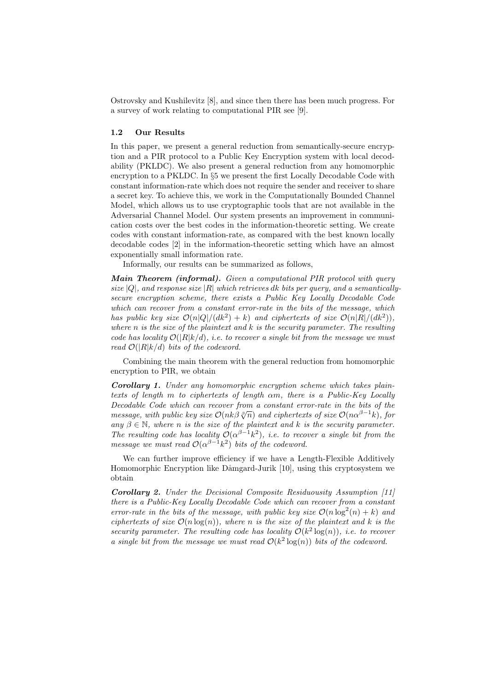Ostrovsky and Kushilevitz [8], and since then there has been much progress. For a survey of work relating to computational PIR see [9].

#### 1.2 Our Results

In this paper, we present a general reduction from semantically-secure encryption and a PIR protocol to a Public Key Encryption system with local decodability (PKLDC). We also present a general reduction from any homomorphic encryption to a PKLDC. In §5 we present the first Locally Decodable Code with constant information-rate which does not require the sender and receiver to share a secret key. To achieve this, we work in the Computationally Bounded Channel Model, which allows us to use cryptographic tools that are not available in the Adversarial Channel Model. Our system presents an improvement in communication costs over the best codes in the information-theoretic setting. We create codes with constant information-rate, as compared with the best known locally decodable codes [2] in the information-theoretic setting which have an almost exponentially small information rate.

Informally, our results can be summarized as follows,

Main Theorem (informal). Given a computational PIR protocol with query size  $|Q|$ , and response size  $|R|$  which retrieves dk bits per query, and a semanticallysecure encryption scheme, there exists a Public Key Locally Decodable Code which can recover from a constant error-rate in the bits of the message, which has public key size  $\mathcal{O}(n|Q|/(dk^2) + k)$  and ciphertexts of size  $\mathcal{O}(n|R|/(dk^2))$ , where  $n$  is the size of the plaintext and  $k$  is the security parameter. The resulting code has locality  $\mathcal{O}(|R|k/d)$ , i.e. to recover a single bit from the message we must read  $\mathcal{O}(|R|k/d)$  bits of the codeword.

Combining the main theorem with the general reduction from homomorphic encryption to PIR, we obtain

Corollary 1. Under any homomorphic encryption scheme which takes plaintexts of length m to ciphertexts of length αm, there is a Public-Key Locally Decodable Code which can recover from a constant error-rate in the bits of the message, with public key size  $\mathcal{O}(nk\beta \sqrt[p]{n})$  and ciphertexts of size  $\mathcal{O}(n\alpha^{\beta-1}k)$ , for any  $\beta \in \mathbb{N}$ , where n is the size of the plaintext and k is the security parameter. The resulting code has locality  $\mathcal{O}(\alpha^{\beta-1}k^2)$ , i.e. to recover a single bit from the message we must read  $\mathcal{O}(\alpha^{\beta-1}k^2)$  bits of the codeword.

We can further improve efficiency if we have a Length-Flexible Additively Homomorphic Encryption like Dåmgard-Jurik [10], using this cryptosystem we obtain

Corollary 2. Under the Decisional Composite Residuousity Assumption [11] there is a Public-Key Locally Decodable Code which can recover from a constant error-rate in the bits of the message, with public key size  $\mathcal{O}(n \log^2(n) + k)$  and ciphertexts of size  $\mathcal{O}(n \log(n))$ , where n is the size of the plaintext and k is the security parameter. The resulting code has locality  $\mathcal{O}(k^2 \log(n))$ , i.e. to recover a single bit from the message we must read  $\mathcal{O}(k^2 \log(n))$  bits of the codeword.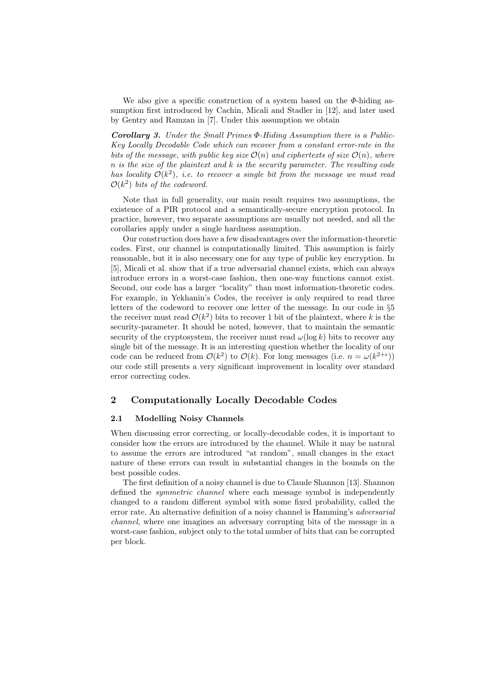We also give a specific construction of a system based on the  $\Phi$ -hiding assumption first introduced by Cachin, Micali and Stadler in [12], and later used by Gentry and Ramzan in [7]. Under this assumption we obtain

Corollary 3. Under the Small Primes Φ-Hiding Assumption there is a Public-Key Locally Decodable Code which can recover from a constant error-rate in the bits of the message, with public key size  $\mathcal{O}(n)$  and ciphertexts of size  $\mathcal{O}(n)$ , where  $n$  is the size of the plaintext and  $k$  is the security parameter. The resulting code has locality  $\mathcal{O}(k^2)$ , i.e. to recover a single bit from the message we must read  $\mathcal{O}(k^2)$  bits of the codeword.

Note that in full generality, our main result requires two assumptions, the existence of a PIR protocol and a semantically-secure encryption protocol. In practice, however, two separate assumptions are usually not needed, and all the corollaries apply under a single hardness assumption.

Our construction does have a few disadvantages over the information-theoretic codes. First, our channel is computationally limited. This assumption is fairly reasonable, but it is also necessary one for any type of public key encryption. In [5], Micali et al. show that if a true adversarial channel exists, which can always introduce errors in a worst-case fashion, then one-way functions cannot exist. Second, our code has a larger "locality" than most information-theoretic codes. For example, in Yekhanin's Codes, the receiver is only required to read three letters of the codeword to recover one letter of the message. In our code in §5 the receiver must read  $\mathcal{O}(k^2)$  bits to recover 1 bit of the plaintext, where k is the security-parameter. It should be noted, however, that to maintain the semantic security of the cryptosystem, the receiver must read  $\omega(\log k)$  bits to recover any single bit of the message. It is an interesting question whether the locality of our code can be reduced from  $\mathcal{O}(k^2)$  to  $\mathcal{O}(k)$ . For long messages (i.e.  $n = \omega(k^{2+\epsilon})$ ) our code still presents a very significant improvement in locality over standard error correcting codes.

## 2 Computationally Locally Decodable Codes

## 2.1 Modelling Noisy Channels

When discussing error correcting, or locally-decodable codes, it is important to consider how the errors are introduced by the channel. While it may be natural to assume the errors are introduced "at random", small changes in the exact nature of these errors can result in substantial changes in the bounds on the best possible codes.

The first definition of a noisy channel is due to Claude Shannon [13]. Shannon defined the *symmetric channel* where each message symbol is independently changed to a random different symbol with some fixed probability, called the error rate. An alternative definition of a noisy channel is Hamming's adversarial channel, where one imagines an adversary corrupting bits of the message in a worst-case fashion, subject only to the total number of bits that can be corrupted per block.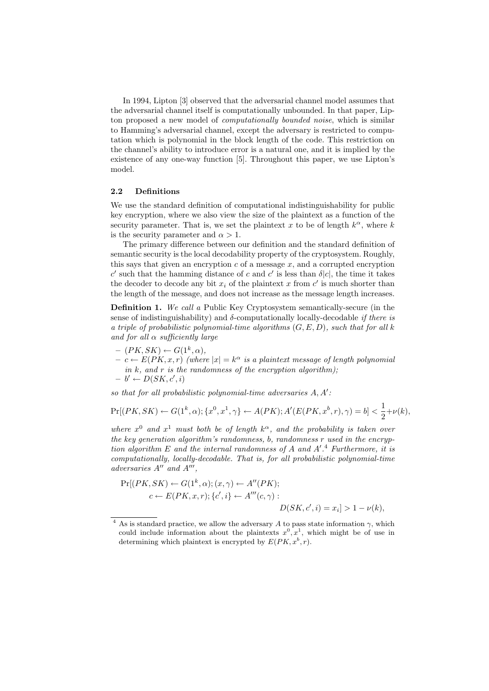In 1994, Lipton [3] observed that the adversarial channel model assumes that the adversarial channel itself is computationally unbounded. In that paper, Lipton proposed a new model of computationally bounded noise, which is similar to Hamming's adversarial channel, except the adversary is restricted to computation which is polynomial in the block length of the code. This restriction on the channel's ability to introduce error is a natural one, and it is implied by the existence of any one-way function [5]. Throughout this paper, we use Lipton's model.

#### 2.2 Definitions

We use the standard definition of computational indistinguishability for public key encryption, where we also view the size of the plaintext as a function of the security parameter. That is, we set the plaintext x to be of length  $k^{\alpha}$ , where k is the security parameter and  $\alpha > 1$ .

The primary difference between our definition and the standard definition of semantic security is the local decodability property of the cryptosystem. Roughly, this says that given an encryption  $c$  of a message  $x$ , and a corrupted encryption c' such that the hamming distance of c and c' is less than  $\delta |c|$ , the time it takes the decoder to decode any bit  $x_i$  of the plaintext x from  $c'$  is much shorter than the length of the message, and does not increase as the message length increases.

Definition 1. We call a Public Key Cryptosystem semantically-secure (in the sense of indistinguishability) and  $\delta$ -computationally locally-decodable *if there is* a triple of probabilistic polynomial-time algorithms  $(G, E, D)$ , such that for all k and for all  $\alpha$  sufficiently large

- $(PK, SK) \leftarrow G(1^k, \alpha),$
- $c \leftarrow E(PK, x, r)$  (where  $|x| = k^{\alpha}$  is a plaintext message of length polynomial in  $k$ , and  $r$  is the randomness of the encryption algorithm);  $- b' \leftarrow D(SK, c', i)$

so that for all probabilistic polynomial-time adversaries  $A, A'$ :

$$
\Pr[(PK, SK) \leftarrow G(1^k, \alpha); \{x^0, x^1, \gamma\} \leftarrow A(PK); A'(E(PK, x^b, r), \gamma) = b] < \frac{1}{2} + \nu(k),
$$

where  $x^0$  and  $x^1$  must both be of length  $k^{\alpha}$ , and the probability is taken over the key generation algorithm's randomness, b, randomness r used in the encryption algorithm  $E$  and the internal randomness of  $A$  and  $A'.^4$  Furthermore, it is computationally, locally-decodable. That is, for all probabilistic polynomial-time adversaries  $A''$  and  $A'''$ ,

$$
Pr[(PK, SK) \leftarrow G(1^k, \alpha); (x, \gamma) \leftarrow A''(PK);
$$
  
\n
$$
c \leftarrow E(PK, x, r); \{c', i\} \leftarrow A'''(c, \gamma) :
$$
  
\n
$$
D(SK, c', i) = x_i] > 1 - \nu(k),
$$

<sup>&</sup>lt;sup>4</sup> As is standard practice, we allow the adversary A to pass state information  $\gamma$ , which could include information about the plaintexts  $x^0, x^1$ , which might be of use in determining which plaintext is encrypted by  $E(PK, x^{b}, r)$ .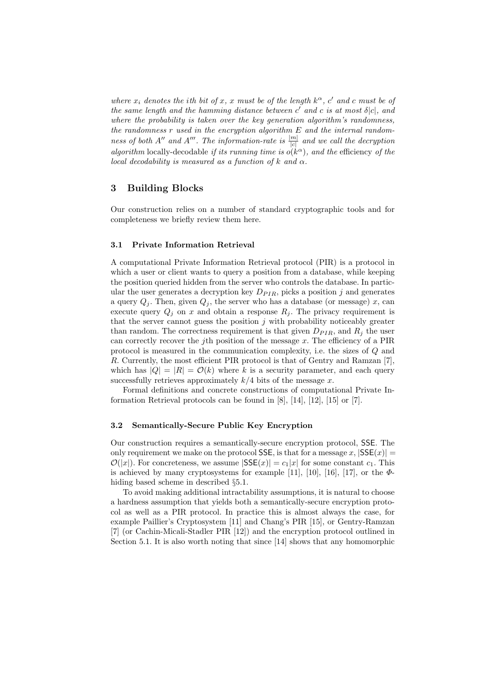where  $x_i$  denotes the ith bit of x, x must be of the length  $k^{\alpha}$ , c' and c must be of the same length and the hamming distance between  $c'$  and  $c$  is at most  $\delta |c|$ , and where the probability is taken over the key generation algorithm's randomness, the randomness  $r$  used in the encryption algorithm  $E$  and the internal randomness of both A'' and A'''. The information-rate is  $\frac{|m|}{|c|}$  and we call the decryption algorithm locally-decodable if its running time is  $o(k^{\alpha})$ , and the efficiency of the local decodability is measured as a function of k and  $\alpha$ .

## 3 Building Blocks

Our construction relies on a number of standard cryptographic tools and for completeness we briefly review them here.

#### 3.1 Private Information Retrieval

A computational Private Information Retrieval protocol (PIR) is a protocol in which a user or client wants to query a position from a database, while keeping the position queried hidden from the server who controls the database. In particular the user generates a decryption key  $D_{PIR}$ , picks a position j and generates a query  $Q_i$ . Then, given  $Q_i$ , the server who has a database (or message) x, can execute query  $Q_j$  on x and obtain a response  $R_j$ . The privacy requirement is that the server cannot guess the position  $j$  with probability noticeably greater than random. The correctness requirement is that given  $D_{PIR}$ , and  $R_j$  the user can correctly recover the j<sup>th</sup> position of the message  $x$ . The efficiency of a PIR protocol is measured in the communication complexity, i.e. the sizes of Q and R. Currently, the most efficient PIR protocol is that of Gentry and Ramzan [7], which has  $|Q| = |R| = \mathcal{O}(k)$  where k is a security parameter, and each query successfully retrieves approximately  $k/4$  bits of the message x.

Formal definitions and concrete constructions of computational Private Information Retrieval protocols can be found in [8], [14], [12], [15] or [7].

## 3.2 Semantically-Secure Public Key Encryption

Our construction requires a semantically-secure encryption protocol, SSE. The only requirement we make on the protocol SSE, is that for a message x,  $|SSE(x)| =$  $\mathcal{O}(|x|)$ . For concreteness, we assume  $|SSE(x)| = c_1|x|$  for some constant  $c_1$ . This is achieved by many cryptosystems for example [11], [10], [16], [17], or the  $\Phi$ hiding based scheme in described §5.1.

To avoid making additional intractability assumptions, it is natural to choose a hardness assumption that yields both a semantically-secure encryption protocol as well as a PIR protocol. In practice this is almost always the case, for example Paillier's Cryptosystem [11] and Chang's PIR [15], or Gentry-Ramzan [7] (or Cachin-Micali-Stadler PIR [12]) and the encryption protocol outlined in Section 5.1. It is also worth noting that since [14] shows that any homomorphic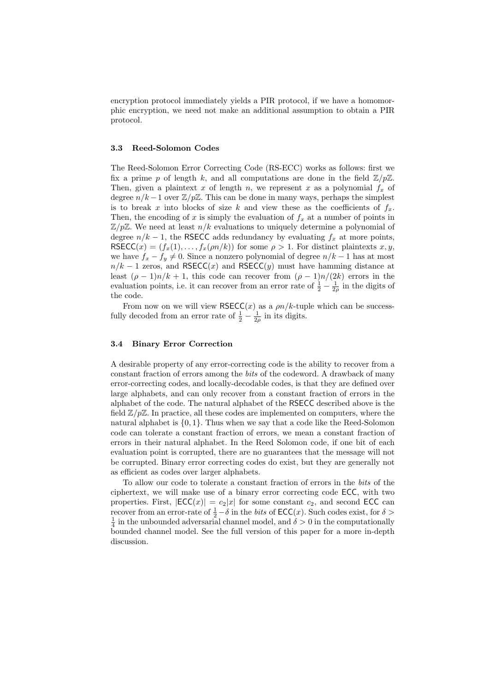encryption protocol immediately yields a PIR protocol, if we have a homomorphic encryption, we need not make an additional assumption to obtain a PIR protocol.

## 3.3 Reed-Solomon Codes

The Reed-Solomon Error Correcting Code (RS-ECC) works as follows: first we fix a prime p of length k, and all computations are done in the field  $\mathbb{Z}/p\mathbb{Z}$ . Then, given a plaintext x of length n, we represent x as a polynomial  $f_x$  of degree  $n/k - 1$  over  $\mathbb{Z}/p\mathbb{Z}$ . This can be done in many ways, perhaps the simplest is to break x into blocks of size k and view these as the coefficients of  $f_x$ . Then, the encoding of x is simply the evaluation of  $f<sub>x</sub>$  at a number of points in  $\mathbb{Z}/p\mathbb{Z}$ . We need at least  $n/k$  evaluations to uniquely determine a polynomial of degree  $n/k - 1$ , the RSECC adds redundancy by evaluating  $f_x$  at more points, RSECC(x) =  $(f_x(1),...,f_x(\rho n/k))$  for some  $\rho > 1$ . For distinct plaintexts x, y, we have  $f_x - f_y \neq 0$ . Since a nonzero polynomial of degree  $n/k - 1$  has at most  $n/k - 1$  zeros, and RSECC(x) and RSECC(y) must have hamming distance at least  $(\rho - 1)n/k + 1$ , this code can recover from  $(\rho - 1)n/(2k)$  errors in the evaluation points, i.e. it can recover from an error rate of  $\frac{1}{2} - \frac{1}{2\rho}$  in the digits of the code.

From now on we will view  $RSECC(x)$  as a  $\rho n/k$ -tuple which can be successfully decoded from an error rate of  $\frac{1}{2} - \frac{1}{2\rho}$  in its digits.

## 3.4 Binary Error Correction

A desirable property of any error-correcting code is the ability to recover from a constant fraction of errors among the bits of the codeword. A drawback of many error-correcting codes, and locally-decodable codes, is that they are defined over large alphabets, and can only recover from a constant fraction of errors in the alphabet of the code. The natural alphabet of the RSECC described above is the field  $\mathbb{Z}/p\mathbb{Z}$ . In practice, all these codes are implemented on computers, where the natural alphabet is  $\{0, 1\}$ . Thus when we say that a code like the Reed-Solomon code can tolerate a constant fraction of errors, we mean a constant fraction of errors in their natural alphabet. In the Reed Solomon code, if one bit of each evaluation point is corrupted, there are no guarantees that the message will not be corrupted. Binary error correcting codes do exist, but they are generally not as efficient as codes over larger alphabets.

To allow our code to tolerate a constant fraction of errors in the bits of the ciphertext, we will make use of a binary error correcting code ECC, with two properties. First,  $|ECC(x)| = c_2|x|$  for some constant  $c_2$ , and second ECC can recover from an error-rate of  $\frac{1}{2} - \delta$  in the *bits* of  $\mathsf{ECC}(x)$ . Such codes exist, for  $\delta >$  $\frac{1}{4}$  in the unbounded adversarial channel model, and  $\delta > 0$  in the computationally bounded channel model. See the full version of this paper for a more in-depth discussion.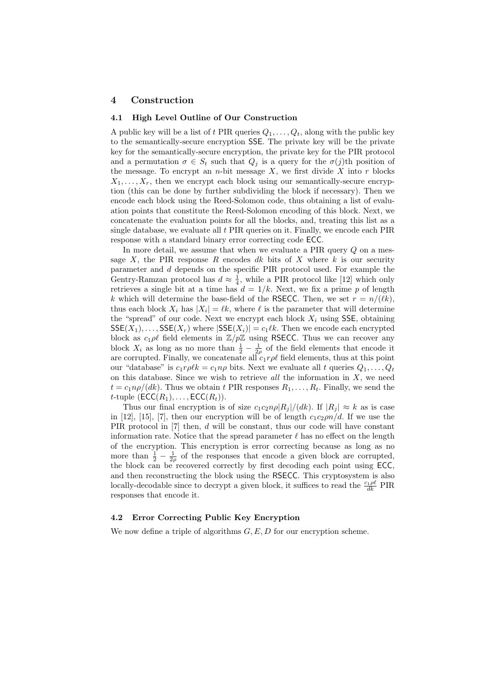## 4 Construction

#### 4.1 High Level Outline of Our Construction

A public key will be a list of t PIR queries  $Q_1, \ldots, Q_t$ , along with the public key to the semantically-secure encryption SSE. The private key will be the private key for the semantically-secure encryption, the private key for the PIR protocol and a permutation  $\sigma \in S_t$  such that  $Q_j$  is a query for the  $\sigma(j)$ th position of the message. To encrypt an  $n$ -bit message  $X$ , we first divide  $X$  into  $r$  blocks  $X_1, \ldots, X_r$ , then we encrypt each block using our semantically-secure encryption (this can be done by further subdividing the block if necessary). Then we encode each block using the Reed-Solomon code, thus obtaining a list of evaluation points that constitute the Reed-Solomon encoding of this block. Next, we concatenate the evaluation points for all the blocks, and, treating this list as a single database, we evaluate all t PIR queries on it. Finally, we encode each PIR response with a standard binary error correcting code ECC.

In more detail, we assume that when we evaluate a PIR query Q on a message X, the PIR response R encodes dk bits of X where k is our security parameter and d depends on the specific PIR protocol used. For example the Gentry-Ramzan protocol has  $d \approx \frac{1}{4}$ , while a PIR protocol like [12] which only retrieves a single bit at a time has  $d = 1/k$ . Next, we fix a prime p of length k which will determine the base-field of the RSECC. Then, we set  $r = n/(\ell k)$ , thus each block  $X_i$  has  $|X_i| = \ell k$ , where  $\ell$  is the parameter that will determine the "spread" of our code. Next we encrypt each block  $X_i$  using SSE, obtaining  $SSE(X_1), \ldots, SSE(X_r)$  where  $|SSE(X_i)| = c_1 \ell k$ . Then we encode each encrypted block as  $c_1 \rho \ell$  field elements in  $\mathbb{Z}/p\mathbb{Z}$  using RSECC. Thus we can recover any block  $X_i$  as long as no more than  $\frac{1}{2} - \frac{1}{2\rho}$  of the field elements that encode it are corrupted. Finally, we concatenate all  $c_1r\rho\ell$  field elements, thus at this point our "database" is  $c_1r\rho l k = c_1n\rho$  bits. Next we evaluate all t queries  $Q_1, \ldots, Q_t$ on this database. Since we wish to retrieve all the information in  $X$ , we need  $t = c_1 n \rho/(dk)$ . Thus we obtain t PIR responses  $R_1, \ldots, R_t$ . Finally, we send the *t*-tuple  $(ECC(R_1), \ldots, ECC(R_t)).$ 

Thus our final encryption is of size  $c_1c_2n\rho |R_i|/(dk)$ . If  $|R_i| \approx k$  as is case in [12], [15], [7], then our encryption will be of length  $c_1c_2\rho n/d$ . If we use the PIR protocol in [7] then, d will be constant, thus our code will have constant information rate. Notice that the spread parameter  $\ell$  has no effect on the length of the encryption. This encryption is error correcting because as long as no more than  $\frac{1}{2} - \frac{1}{2\rho}$  of the responses that encode a given block are corrupted, the block can be recovered correctly by first decoding each point using ECC, and then reconstructing the block using the RSECC. This cryptosystem is also locally-decodable since to decrypt a given block, it suffices to read the  $\frac{c_1 \rho \ell}{dk}$  PIR responses that encode it.

## 4.2 Error Correcting Public Key Encryption

We now define a triple of algorithms  $G, E, D$  for our encryption scheme.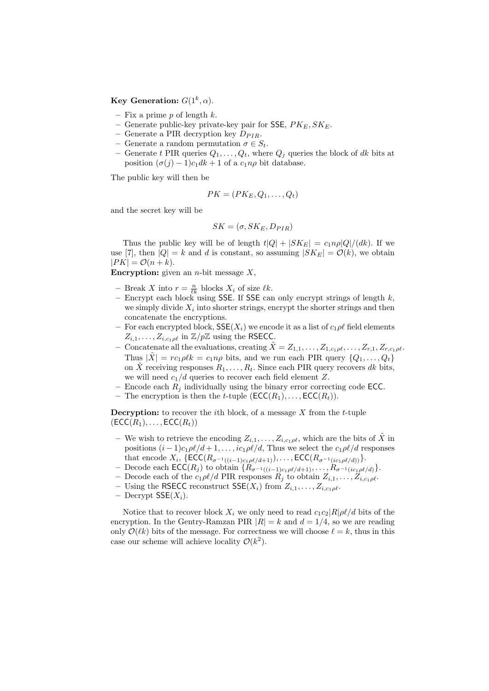Key Generation:  $G(1^k, \alpha)$ .

- Fix a prime  $p$  of length  $k$ .
- Generate public-key private-key pair for SSE,  $PK_E, SK_E$ .
- Generate a PIR decryption key  $D_{PIR}$ .
- Generate a random permutation  $\sigma \in S_t$ .
- Generate t PIR queries  $Q_1, \ldots, Q_t$ , where  $Q_i$  queries the block of dk bits at position  $(\sigma(j) - 1)c_1dk + 1$  of a  $c_1n\rho$  bit database.

The public key will then be

$$
PK = (PK_E, Q_1, \ldots, Q_t)
$$

and the secret key will be

$$
SK = (\sigma, SK_E, D_{PIR})
$$

Thus the public key will be of length  $t|Q| + |SK_E| = c_1n\rho|Q|/(dk)$ . If we use [7], then  $|Q| = k$  and d is constant, so assuming  $|SK_E| = \mathcal{O}(k)$ , we obtain  $|PK| = \mathcal{O}(n+k).$ 

**Encryption:** given an *n*-bit message  $X$ ,

- Break X into  $r = \frac{n}{\ell k}$  blocks  $X_i$  of size  $\ell k$ .
- Encrypt each block using SSE. If SSE can only encrypt strings of length  $k$ , we simply divide  $X_i$  into shorter strings, encrypt the shorter strings and then concatenate the encryptions.
- For each encrypted block,  $\mathsf{SSE}(X_i)$  we encode it as a list of  $c_1 \rho \ell$  field elements  $Z_{i,1}, \ldots, Z_{i,c_1\rho\ell}$  in  $\mathbb{Z}/p\mathbb{Z}$  using the RSECC.
- Concatenate all the evaluations, creating  $\tilde{X} = Z_{1,1}, \ldots, Z_{1,c_1\rho\ell}, \ldots, Z_{r,1}, Z_{r,c_1\rho\ell}.$ Thus  $|\tilde{X}| = rc_1\rho \ell k = c_1n\rho$  bits, and we run each PIR query  $\{Q_1, \ldots, Q_t\}$ on X receiving responses  $R_1, \ldots, R_t$ . Since each PIR query recovers dk bits, we will need  $c_1/d$  queries to recover each field element Z.
- Encode each  $R_j$  individually using the binary error correcting code ECC.
- The encryption is then the t-tuple  $(\mathsf{ECC}(R_1), \ldots, \mathsf{ECC}(R_t)).$

**Decryption:** to recover the *i*th block, of a message  $X$  from the  $t$ -tuple  $(ECC(R_1), \ldots, ECC(R_t))$ 

- We wish to retrieve the encoding  $Z_{i,1}, \ldots, Z_{i,c_1\rho\ell}$ , which are the bits of X in positions  $(i - 1)c_1\rho\ell/d + 1, \ldots, ic_1\rho\ell/d$ , Thus we select the  $c_1\rho\ell/d$  responses that encode  $X_i$ ,  $\{\mathsf{ECC}(R_{\sigma^{-1}((i-1)c_1\rho\ell/d+1)}), \ldots, \mathsf{ECC}(R_{\sigma^{-1}(ic_1\rho\ell/d)})\}.$
- Decode each **ECC**( $R_j$ ) to obtain { $R_{σ^{-1}((i-1)c_1ρ\ell/d+1)}, ..., R_{σ^{-1}(ic_1ρ\ell/d)}$ }.
- Decode each of the  $c_1\rho\ell/d$  PIR responses  $R_j$  to obtain  $Z_{i,1}, \ldots, Z_{i,c_1\rho\ell}$ .
- Using the RSECC reconstruct  $\mathsf{SSE}(X_i)$  from  $Z_{i,1}, \ldots, Z_{i,c_1\rho\ell}$ .
- Decrypt  $\mathsf{SSE}(X_i)$ .

Notice that to recover block  $X_i$  we only need to read  $c_1c_2|R|\rho\ell/d$  bits of the encryption. In the Gentry-Ramzan PIR  $|R| = k$  and  $d = 1/4$ , so we are reading only  $\mathcal{O}(\ell k)$  bits of the message. For correctness we will choose  $\ell = k$ , thus in this case our scheme will achieve locality  $\mathcal{O}(k^2)$ .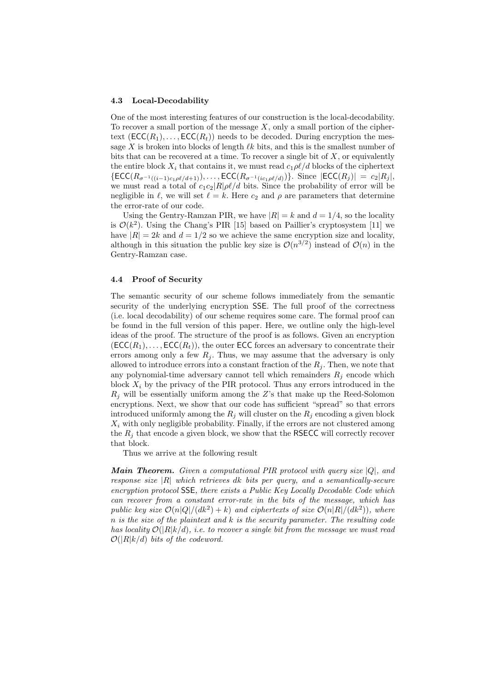#### 4.3 Local-Decodability

One of the most interesting features of our construction is the local-decodability. To recover a small portion of the message  $X$ , only a small portion of the ciphertext  $(\mathsf{ECC}(R_1), \ldots, \mathsf{ECC}(R_t))$  needs to be decoded. During encryption the message X is broken into blocks of length  $\ell k$  bits, and this is the smallest number of bits that can be recovered at a time. To recover a single bit of  $X$ , or equivalently the entire block  $X_i$  that contains it, we must read  $c_1\rho\ell/d$  blocks of the ciphertext  $\{\textsf{ECC}(R_{\sigma^{-1}((i-1)c_1\rho\ell/d+1)}), \ldots, \textsf{ECC}(R_{\sigma^{-1}(ic_1\rho\ell/d)})\}$ . Since  $|\textsf{ECC}(R_i)| = c_2|R_i|$ , we must read a total of  $c_1c_2|R|\rho\ell/d$  bits. Since the probability of error will be negligible in  $\ell$ , we will set  $\ell = k$ . Here  $c_2$  and  $\rho$  are parameters that determine the error-rate of our code.

Using the Gentry-Ramzan PIR, we have  $|R| = k$  and  $d = 1/4$ , so the locality is  $\mathcal{O}(k^2)$ . Using the Chang's PIR [15] based on Paillier's cryptosystem [11] we have  $|R| = 2k$  and  $d = 1/2$  so we achieve the same encryption size and locality, although in this situation the public key size is  $\mathcal{O}(n^{3/2})$  instead of  $\mathcal{O}(n)$  in the Gentry-Ramzan case.

## 4.4 Proof of Security

The semantic security of our scheme follows immediately from the semantic security of the underlying encryption SSE. The full proof of the correctness (i.e. local decodability) of our scheme requires some care. The formal proof can be found in the full version of this paper. Here, we outline only the high-level ideas of the proof. The structure of the proof is as follows. Given an encryption  $(ECC(R_1), \ldots, ECC(R_t))$ , the outer ECC forces an adversary to concentrate their errors among only a few  $R_i$ . Thus, we may assume that the adversary is only allowed to introduce errors into a constant fraction of the  $R_i$ . Then, we note that any polynomial-time adversary cannot tell which remainders  $R_i$  encode which block  $X_i$  by the privacy of the PIR protocol. Thus any errors introduced in the  $R_i$  will be essentially uniform among the Z's that make up the Reed-Solomon encryptions. Next, we show that our code has sufficient "spread" so that errors introduced uniformly among the  $R_i$  will cluster on the  $R_i$  encoding a given block  $X_i$  with only negligible probability. Finally, if the errors are not clustered among the  $R_i$  that encode a given block, we show that the RSECC will correctly recover that block.

Thus we arrive at the following result

**Main Theorem.** Given a computational PIR protocol with query size  $|Q|$ , and response size  $|R|$  which retrieves dk bits per query, and a semantically-secure encryption protocol SSE, there exists a Public Key Locally Decodable Code which can recover from a constant error-rate in the bits of the message, which has public key size  $\mathcal{O}(n|Q|/(dk^2) + k)$  and ciphertexts of size  $\mathcal{O}(n|R|/(dk^2))$ , where n is the size of the plaintext and k is the security parameter. The resulting code has locality  $\mathcal{O}(|R|k/d)$ , i.e. to recover a single bit from the message we must read  $\mathcal{O}(|R|k/d)$  bits of the codeword.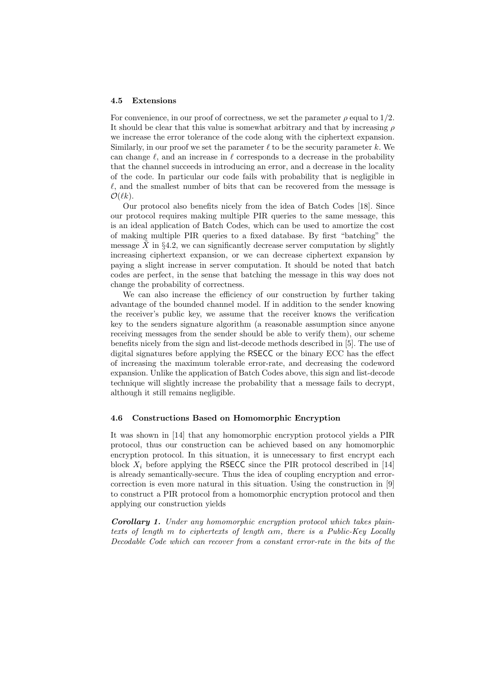#### 4.5 Extensions

For convenience, in our proof of correctness, we set the parameter  $\rho$  equal to  $1/2$ . It should be clear that this value is somewhat arbitrary and that by increasing  $\rho$ we increase the error tolerance of the code along with the ciphertext expansion. Similarly, in our proof we set the parameter  $\ell$  to be the security parameter k. We can change  $\ell$ , and an increase in  $\ell$  corresponds to a decrease in the probability that the channel succeeds in introducing an error, and a decrease in the locality of the code. In particular our code fails with probability that is negligible in  $\ell$ , and the smallest number of bits that can be recovered from the message is  $\mathcal{O}(\ell k)$ .

Our protocol also benefits nicely from the idea of Batch Codes [18]. Since our protocol requires making multiple PIR queries to the same message, this is an ideal application of Batch Codes, which can be used to amortize the cost of making multiple PIR queries to a fixed database. By first "batching" the message  $\hat{X}$  in §4.2, we can significantly decrease server computation by slightly increasing ciphertext expansion, or we can decrease ciphertext expansion by paying a slight increase in server computation. It should be noted that batch codes are perfect, in the sense that batching the message in this way does not change the probability of correctness.

We can also increase the efficiency of our construction by further taking advantage of the bounded channel model. If in addition to the sender knowing the receiver's public key, we assume that the receiver knows the verification key to the senders signature algorithm (a reasonable assumption since anyone receiving messages from the sender should be able to verify them), our scheme benefits nicely from the sign and list-decode methods described in [5]. The use of digital signatures before applying the RSECC or the binary ECC has the effect of increasing the maximum tolerable error-rate, and decreasing the codeword expansion. Unlike the application of Batch Codes above, this sign and list-decode technique will slightly increase the probability that a message fails to decrypt, although it still remains negligible.

## 4.6 Constructions Based on Homomorphic Encryption

It was shown in [14] that any homomorphic encryption protocol yields a PIR protocol, thus our construction can be achieved based on any homomorphic encryption protocol. In this situation, it is unnecessary to first encrypt each block  $X_i$  before applying the RSECC since the PIR protocol described in [14] is already semantically-secure. Thus the idea of coupling encryption and errorcorrection is even more natural in this situation. Using the construction in [9] to construct a PIR protocol from a homomorphic encryption protocol and then applying our construction yields

Corollary 1. Under any homomorphic encryption protocol which takes plaintexts of length m to ciphertexts of length αm, there is a Public-Key Locally Decodable Code which can recover from a constant error-rate in the bits of the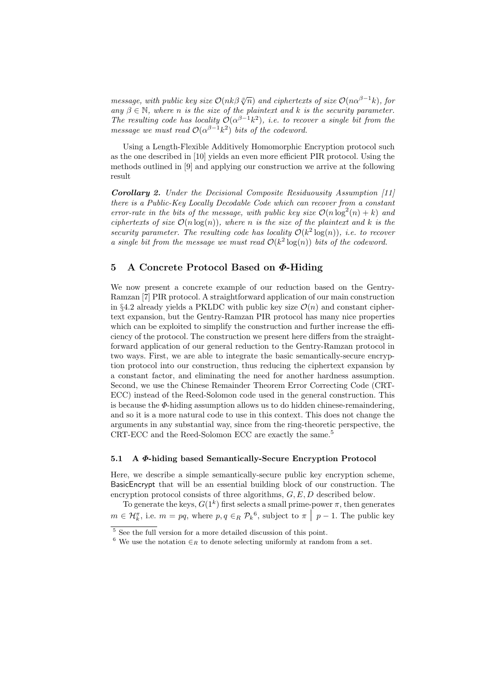message, with public key size  $\mathcal{O}(nk\beta\sqrt[p]{n})$  and ciphertexts of size  $\mathcal{O}(n\alpha^{\beta-1}k)$ , for any  $\beta \in \mathbb{N}$ , where n is the size of the plaintext and k is the security parameter. The resulting code has locality  $\mathcal{O}(\alpha^{\beta-1}k^2)$ , i.e. to recover a single bit from the message we must read  $\mathcal{O}(\alpha^{\beta-1}k^2)$  bits of the codeword.

Using a Length-Flexible Additively Homomorphic Encryption protocol such as the one described in [10] yields an even more efficient PIR protocol. Using the methods outlined in [9] and applying our construction we arrive at the following result

Corollary 2. Under the Decisional Composite Residuousity Assumption [11] there is a Public-Key Locally Decodable Code which can recover from a constant error-rate in the bits of the message, with public key size  $\mathcal{O}(n \log^2(n) + k)$  and ciphertexts of size  $\mathcal{O}(n \log(n))$ , where n is the size of the plaintext and k is the security parameter. The resulting code has locality  $\mathcal{O}(k^2 \log(n))$ , i.e. to recover a single bit from the message we must read  $\mathcal{O}(k^2 \log(n))$  bits of the codeword.

# 5 A Concrete Protocol Based on Φ-Hiding

We now present a concrete example of our reduction based on the Gentry-Ramzan [7] PIR protocol. A straightforward application of our main construction in §4.2 already yields a PKLDC with public key size  $\mathcal{O}(n)$  and constant ciphertext expansion, but the Gentry-Ramzan PIR protocol has many nice properties which can be exploited to simplify the construction and further increase the efficiency of the protocol. The construction we present here differs from the straightforward application of our general reduction to the Gentry-Ramzan protocol in two ways. First, we are able to integrate the basic semantically-secure encryption protocol into our construction, thus reducing the ciphertext expansion by a constant factor, and eliminating the need for another hardness assumption. Second, we use the Chinese Remainder Theorem Error Correcting Code (CRT-ECC) instead of the Reed-Solomon code used in the general construction. This is because the  $\Phi$ -hiding assumption allows us to do hidden chinese-remaindering, and so it is a more natural code to use in this context. This does not change the arguments in any substantial way, since from the ring-theoretic perspective, the CRT-ECC and the Reed-Solomon ECC are exactly the same.<sup>5</sup>

## 5.1 A Φ-hiding based Semantically-Secure Encryption Protocol

Here, we describe a simple semantically-secure public key encryption scheme, BasicEncrypt that will be an essential building block of our construction. The encryption protocol consists of three algorithms,  $G, E, D$  described below.

To generate the keys,  $G(1^k)$  first selects a small prime-power  $\pi$ , then generates  $m \in \mathcal{H}_{k}^{\pi}$ , i.e.  $m = pq$ , where  $p, q \in_{R} \mathcal{P}_{k}^6$ , subject to  $\pi | p - 1$ . The public key

<sup>5</sup> See the full version for a more detailed discussion of this point.

 $6$  We use the notation  $\in$ R to denote selecting uniformly at random from a set.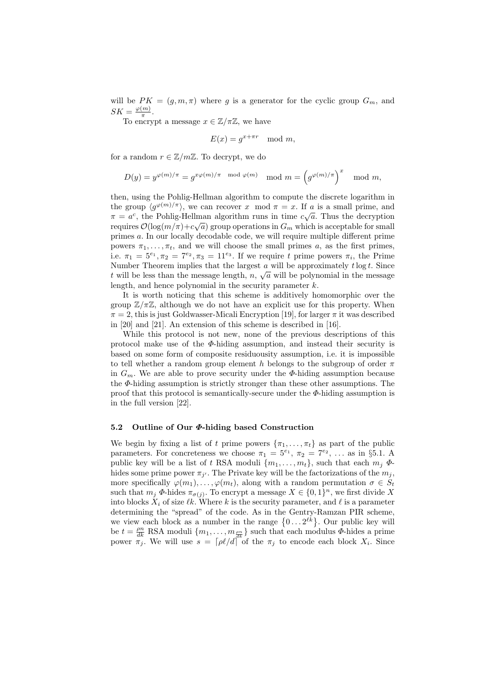will be  $PK = (g, m, \pi)$  where g is a generator for the cyclic group  $G_m$ , and  $SK = \frac{\varphi(m)}{\pi}$  $\frac{(m)}{\pi}$ .

To encrypt a message  $x \in \mathbb{Z}/\pi\mathbb{Z}$ , we have

$$
E(x) = g^{x + \pi r} \mod m,
$$

for a random  $r \in \mathbb{Z}/m\mathbb{Z}$ . To decrypt, we do

$$
D(y) = y^{\varphi(m)/\pi} = g^{x\varphi(m)/\pi \mod \varphi(m)} \mod m = \left(g^{\varphi(m)/\pi}\right)^x \mod m,
$$

then, using the Pohlig-Hellman algorithm to compute the discrete logarithm in the group  $\langle g^{\varphi(m)/\pi} \rangle$ , we can recover x mod  $\pi = x$ . If a is a small prime, and  $\pi = a^c$ , the Pohlig-Hellman algorithm runs in time  $c\sqrt{a}$ . Thus the decryption requires  $\mathcal{O}(\log(m/\pi)+c\sqrt{a})$  group operations in  $G_m$  which is acceptable for small primes a. In our locally decodable code, we will require multiple different prime powers  $\pi_1, \ldots, \pi_t$ , and we will choose the small primes a, as the first primes, i.e.  $\pi_1 = 5^{e_1}, \pi_2 = 7^{e_2}, \pi_3 = 11^{e_3}$ . If we require t prime powers  $\pi_i$ , the Prime Number Theorem implies that the largest  $\alpha$  will be approximately  $t \log t$ . Since t will be less than the message length,  $n, \sqrt{a}$  will be polynomial in the message length, and hence polynomial in the security parameter  $k$ .

It is worth noticing that this scheme is additively homomorphic over the group  $\mathbb{Z}/\pi\mathbb{Z}$ , although we do not have an explicit use for this property. When  $\pi = 2$ , this is just Goldwasser-Micali Encryption [19], for larger  $\pi$  it was described in [20] and [21]. An extension of this scheme is described in [16].

While this protocol is not new, none of the previous descriptions of this protocol make use of the  $\Phi$ -hiding assumption, and instead their security is based on some form of composite residuousity assumption, i.e. it is impossible to tell whether a random group element h belongs to the subgroup of order  $\pi$ in  $G_m$ . We are able to prove security under the  $\Phi$ -hiding assumption because the  $\Phi$ -hiding assumption is strictly stronger than these other assumptions. The proof that this protocol is semantically-secure under the  $\Phi$ -hiding assumption is in the full version [22].

#### 5.2 Outline of Our Φ-hiding based Construction

We begin by fixing a list of t prime powers  $\{\pi_1, \ldots, \pi_t\}$  as part of the public parameters. For concreteness we choose  $\pi_1 = 5^{e_1}, \pi_2 = 7^{e_2}, \ldots$  as in §5.1. A public key will be a list of t RSA moduli  $\{m_1, \ldots, m_t\}$ , such that each  $m_j \Phi$ hides some prime power  $\pi_{j'}$ . The Private key will be the factorizations of the  $m_j$ , more specifically  $\varphi(m_1), \ldots, \varphi(m_t)$ , along with a random permutation  $\sigma \in S_t$ such that  $m_j \Phi$ -hides  $\pi_{\sigma(j)}$ . To encrypt a message  $X \in \{0,1\}^n$ , we first divide X into blocks  $X_i$  of size  $\ell k$ . Where k is the security parameter, and  $\ell$  is a parameter determining the "spread" of the code. As in the Gentry-Ramzan PIR scheme, we view each block as a number in the range  $\{0 \dots 2^{\ell k}\}\$ . Our public key will be  $t = \frac{\rho n}{dk}$  RSA moduli  $\{m_1, \ldots, m_{\frac{\rho n}{dk}}\}$  such that each modulus  $\Phi$ -hides a prime power  $\pi_j$ . We will use  $s = \lceil \rho l/d \rceil$  of the  $\pi_j$  to encode each block  $X_i$ . Since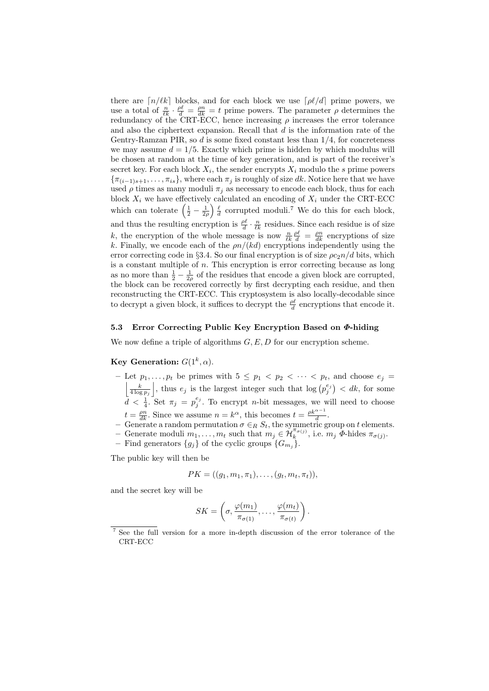there are  $\lceil n/k \rceil$  blocks, and for each block we use  $\lceil \rho \ell/d \rceil$  prime powers, we use a total of  $\frac{n}{\ell k} \cdot \frac{\rho \ell}{d} = \frac{\rho n}{dk} = t$  prime powers. The parameter  $\rho$  determines the redundancy of the CRT-ECC, hence increasing  $\rho$  increases the error tolerance and also the ciphertext expansion. Recall that  $d$  is the information rate of the Gentry-Ramzan PIR, so  $d$  is some fixed constant less than  $1/4$ , for concreteness we may assume  $d = 1/5$ . Exactly which prime is hidden by which modulus will be chosen at random at the time of key generation, and is part of the receiver's secret key. For each block  $X_i$ , the sender encrypts  $X_i$  modulo the s prime powers  ${\{\pi_{(i-1)s+1}, \ldots, \pi_{is}\}}$ , where each  $\pi_j$  is roughly of size dk. Notice here that we have used  $\rho$  times as many moduli  $\pi_j$  as necessary to encode each block, thus for each block  $X_i$  we have effectively calculated an encoding of  $X_i$  under the CRT-ECC which can tolerate  $\left(\frac{1}{2} - \frac{1}{2\rho}\right) \frac{\ell}{d}$  corrupted moduli.<sup>7</sup> We do this for each block, and thus the resulting encryption is  $\frac{\rho \ell}{d} \cdot \frac{n}{\ell k}$  residues. Since each residue is of size k, the encryption of the whole message is now  $\frac{n}{\ell k} \frac{\rho \ell}{d} = \frac{\rho n}{dk}$  encryptions of size k. Finally, we encode each of the  $\rho n/(kd)$  encryptions independently using the error correcting code in §3.4. So our final encryption is of size  $\rho c_2 n/d$  bits, which is a constant multiple of  $n$ . This encryption is error correcting because as long as no more than  $\frac{1}{2} - \frac{1}{2\rho}$  of the residues that encode a given block are corrupted, the block can be recovered correctly by first decrypting each residue, and then reconstructing the CRT-ECC. This cryptosystem is also locally-decodable since to decrypt a given block, it suffices to decrypt the  $\frac{\rho \ell}{d}$  encryptions that encode it.

## 5.3 Error Correcting Public Key Encryption Based on Φ-hiding

We now define a triple of algorithms  $G, E, D$  for our encryption scheme.

## Key Generation:  $G(1^k, \alpha)$ .

- Let  $p_1, \ldots, p_t$  be primes with  $5 \leq p_1 < p_2 < \cdots < p_t$ , and choose  $e_i$  $\left| \frac{k}{4 \log p_j} \right|$ , thus  $e_j$  is the largest integer such that  $\log (p_j^{e_j}) < d_k$ , for some  $d < \frac{1}{4}$ . Set  $\pi_j = p_j^{e_j}$ . To encrypt *n*-bit messages, we will need to choose  $t = \frac{\rho n}{dk}$ . Since we assume  $n = k^{\alpha}$ , this becomes  $t = \frac{\rho k^{\alpha - 1}}{d}$ .
- − Generate a random permutation  $σ ∈ R S_t$ , the symmetric group on t elements.<br>
− Generate moduli  $m_1, ..., m_t$  such that  $m_j ∈ H_k^{\pi_{\sigma(j)}}$ , i.e.  $m_j \Phi$ -hides  $\pi_{\sigma(j)}$ .
- 
- Find generators  ${g_j}$  of the cyclic groups  ${G_{m_j}}$ .

The public key will then be

$$
PK = ((g_1, m_1, \pi_1), \ldots, (g_t, m_t, \pi_t)),
$$

and the secret key will be

$$
SK = \left(\sigma, \frac{\varphi(m_1)}{\pi_{\sigma(1)}}, \ldots, \frac{\varphi(m_t)}{\pi_{\sigma(t)}}\right).
$$

<sup>7</sup> See the full version for a more in-depth discussion of the error tolerance of the CRT-ECC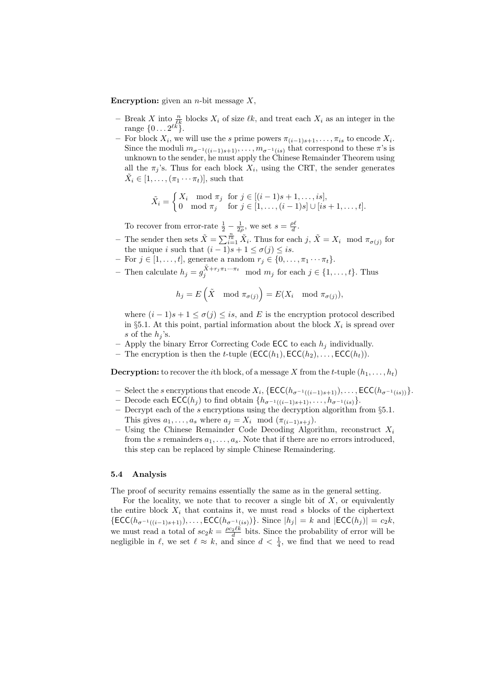**Encryption:** given an *n*-bit message  $X$ ,

- Break X into  $\frac{n}{\ell k}$  blocks  $X_i$  of size  $\ell k$ , and treat each  $X_i$  as an integer in the range  $\{0 \dots 2^{\ell k}\}.$
- − For block  $X_i$ , we will use the s prime powers  $\pi_{(i-1)s+1}, \ldots, \pi_{is}$  to encode  $X_i$ . Since the moduli  $m_{\sigma^{-1}((i-1)s+1)}, \ldots, m_{\sigma^{-1}(is)}$  that correspond to these  $\pi$ 's is unknown to the sender, he must apply the Chinese Remainder Theorem using all the  $\pi_j$ 's. Thus for each block  $X_i$ , using the CRT, the sender generates  $\tilde{X}_i \in [1, \ldots, (\pi_1 \cdots \pi_t)],$  such that

$$
\tilde{X}_i = \begin{cases} X_i \mod \pi_j & \text{for } j \in [(i-1)s+1, \dots, is], \\ 0 \mod \pi_j & \text{for } j \in [1, \dots, (i-1)s] \cup [is+1, \dots, t]. \end{cases}
$$

To recover from error-rate  $\frac{1}{2} - \frac{1}{2\rho}$ , we set  $s = \frac{\rho \ell}{d}$ .

- The sender then sets  $\tilde{X} = \sum_{i=1}^{\frac{n}{k}} \tilde{X}_i$ . Thus for each  $j, \tilde{X} = X_i \mod \pi_{\sigma(j)}$  for the unique *i* such that  $(i - 1)s + 1 \le \sigma(j) \le is$ .
- For  $j \in [1, \ldots, t]$ , generate a random  $r_j \in \{0, \ldots, \pi_1 \cdots \pi_t\}.$
- Then calculate  $h_j = g_j^{\tilde{X} + r_j \pi_1 \cdots \pi_t} \mod m_j$  for each  $j \in \{1, ..., t\}$ . Thus

$$
h_j = E\left(\tilde{X} \mod \pi_{\sigma(j)}\right) = E(X_i \mod \pi_{\sigma(j)}),
$$

where  $(i - 1)s + 1 \leq \sigma(j) \leq is$ , and E is the encryption protocol described in §5.1. At this point, partial information about the block  $X_i$  is spread over s of the  $h_j$ 's.

- Apply the binary Error Correcting Code ECC to each  $h_j$  individually.
- The encryption is then the *t*-tuple  $(\mathsf{ECC}(h_1), \mathsf{ECC}(h_2), \ldots, \mathsf{ECC}(h_t)).$

**Decryption:** to recover the *i*th block, of a message X from the *t*-tuple  $(h_1, \ldots, h_t)$ 

- − Select the s encryptions that encode  $X_i$ , {ECC( $h_{\sigma^{-1}((i-1)s+1)}$ ),..., ECC( $h_{\sigma^{-1}(is)}$ }.
- Decode each ECC( $h_j$ ) to find obtain { $h_{\sigma^{-1}((i-1)s+1)}, \ldots, h_{\sigma^{-1}(is)}$  }.
- Decrypt each of the  $s$  encryptions using the decryption algorithm from  $\S 5.1$ . This gives  $a_1, \ldots, a_s$  where  $a_j = X_i \mod (\pi_{(i-1)s+j}).$
- Using the Chinese Remainder Code Decoding Algorithm, reconstruct  $X_i$ from the s remainders  $a_1, \ldots, a_s$ . Note that if there are no errors introduced, this step can be replaced by simple Chinese Remaindering.

## 5.4 Analysis

The proof of security remains essentially the same as in the general setting.

For the locality, we note that to recover a single bit of  $X$ , or equivalently the entire block  $X_i$  that contains it, we must read s blocks of the ciphertext  $\{\mathsf{ECC}(h_{\sigma^{-1}((i-1)s+1)}), \ldots, \mathsf{ECC}(h_{\sigma^{-1}(is)})\}\)$ . Since  $|h_j| = k$  and  $|\mathsf{ECC}(h_j)| = c_2k$ , we must read a total of  $sc_2 k = \frac{\rho c_2 \ell k}{d}$  bits. Since the probability of error will be negligible in  $\ell$ , we set  $\ell \approx k$ , and since  $d < \frac{1}{4}$ , we find that we need to read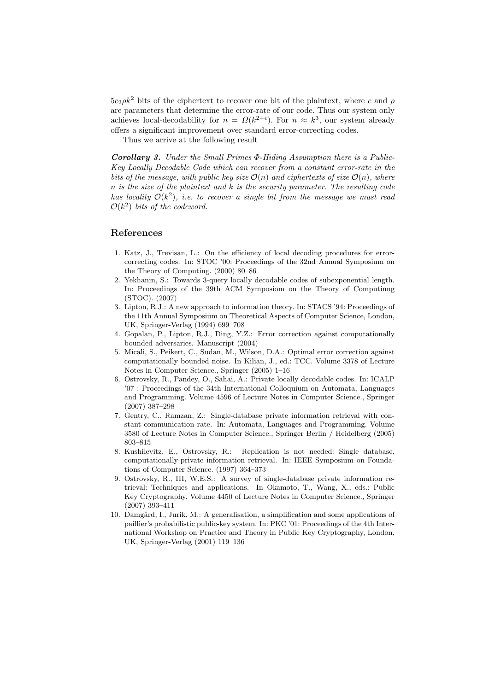$5c_2\rho k^2$  bits of the ciphertext to recover one bit of the plaintext, where c and  $\rho$ are parameters that determine the error-rate of our code. Thus our system only achieves local-decodability for  $n = \Omega(k^{2+\epsilon})$ . For  $n \approx k^3$ , our system already offers a significant improvement over standard error-correcting codes.

Thus we arrive at the following result

Corollary 3. Under the Small Primes Φ-Hiding Assumption there is a Public-Key Locally Decodable Code which can recover from a constant error-rate in the bits of the message, with public key size  $\mathcal{O}(n)$  and ciphertexts of size  $\mathcal{O}(n)$ , where  $n$  is the size of the plaintext and  $k$  is the security parameter. The resulting code has locality  $\mathcal{O}(k^2)$ , i.e. to recover a single bit from the message we must read  $\mathcal{O}(k^2)$  bits of the codeword.

## References

- 1. Katz, J., Trevisan, L.: On the efficiency of local decoding procedures for errorcorrecting codes. In: STOC '00: Proceedings of the 32nd Annual Symposium on the Theory of Computing. (2000) 80–86
- 2. Yekhanin, S.: Towards 3-query locally decodable codes of subexponential length. In: Proceedings of the 39th ACM Symposiom on the Theory of Computinng (STOC). (2007)
- 3. Lipton, R.J.: A new approach to information theory. In: STACS '94: Proceedings of the 11th Annual Symposium on Theoretical Aspects of Computer Science, London, UK, Springer-Verlag (1994) 699–708
- 4. Gopalan, P., Lipton, R.J., Ding, Y.Z.: Error correction against computationally bounded adversaries. Manuscript (2004)
- 5. Micali, S., Peikert, C., Sudan, M., Wilson, D.A.: Optimal error correction against computationally bounded noise. In Kilian, J., ed.: TCC. Volume 3378 of Lecture Notes in Computer Science., Springer (2005) 1–16
- 6. Ostrovsky, R., Pandey, O., Sahai, A.: Private locally decodable codes. In: ICALP '07 : Proceedings of the 34th International Colloquium on Automata, Languages and Programming. Volume 4596 of Lecture Notes in Computer Science., Springer (2007) 387–298
- 7. Gentry, C., Ramzan, Z.: Single-database private information retrieval with constant communication rate. In: Automata, Languages and Programming. Volume 3580 of Lecture Notes in Computer Science., Springer Berlin / Heidelberg (2005) 803–815
- 8. Kushilevitz, E., Ostrovsky, R.: Replication is not needed: Single database, computationally-private information retrieval. In: IEEE Symposium on Foundations of Computer Science. (1997) 364–373
- 9. Ostrovsky, R., III, W.E.S.: A survey of single-database private information retrieval: Techniques and applications. In Okamoto, T., Wang, X., eds.: Public Key Cryptography. Volume 4450 of Lecture Notes in Computer Science., Springer (2007) 393–411
- 10. Damgård, I., Jurik, M.: A generalisation, a simplification and some applications of paillier's probabilistic public-key system. In: PKC '01: Proceedings of the 4th International Workshop on Practice and Theory in Public Key Cryptography, London, UK, Springer-Verlag (2001) 119–136